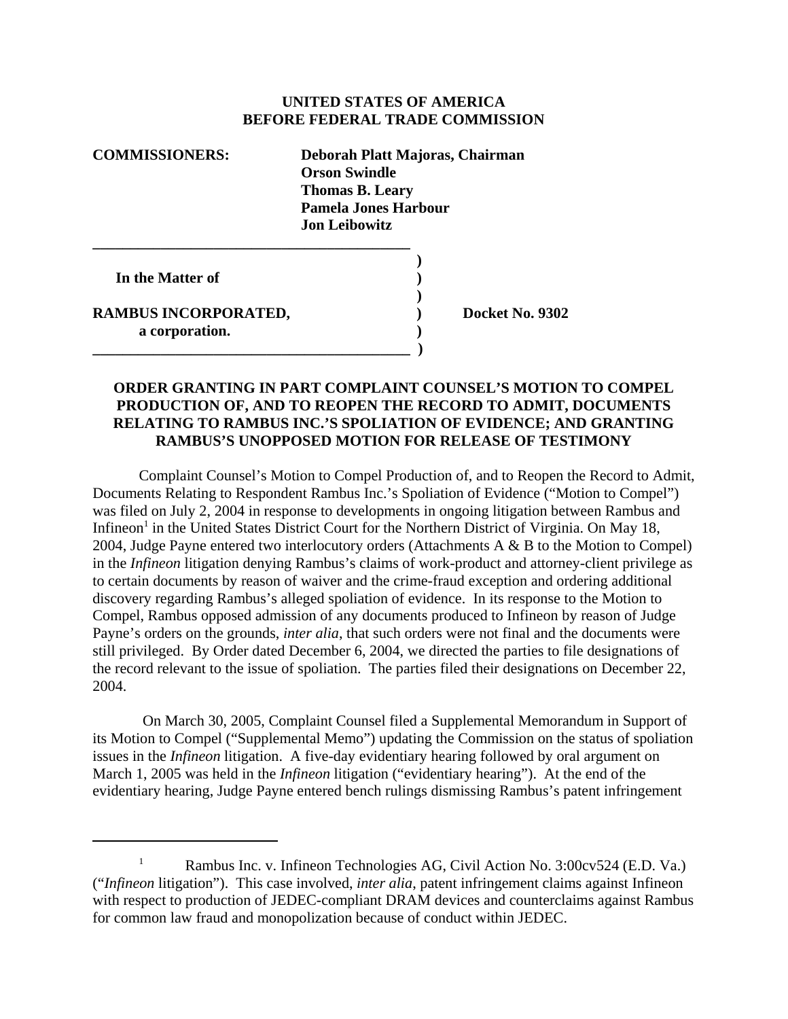## **UNITED STATES OF AMERICA BEFORE FEDERAL TRADE COMMISSION**

| <b>COMMISSIONERS:</b> | Deborah Platt Majoras, Chairman<br><b>Orson Swindle</b><br><b>Thomas B. Leary</b><br><b>Pamela Jones Harbour</b><br><b>Jon Leibowitz</b> |
|-----------------------|------------------------------------------------------------------------------------------------------------------------------------------|
| In the Matter of      |                                                                                                                                          |

**\_\_\_\_\_\_\_\_\_\_\_\_\_\_\_\_\_\_\_\_\_\_\_\_\_\_\_\_\_\_\_\_\_\_\_\_\_\_\_\_\_\_ )**

**RAMBUS INCORPORATED, Sand Control Control Control Docket No. 9302 a corporation. )**

## **ORDER GRANTING IN PART COMPLAINT COUNSEL'S MOTION TO COMPEL PRODUCTION OF, AND TO REOPEN THE RECORD TO ADMIT, DOCUMENTS RELATING TO RAMBUS INC.'S SPOLIATION OF EVIDENCE; AND GRANTING RAMBUS'S UNOPPOSED MOTION FOR RELEASE OF TESTIMONY**

**)**

Complaint Counsel's Motion to Compel Production of, and to Reopen the Record to Admit, Documents Relating to Respondent Rambus Inc.'s Spoliation of Evidence ("Motion to Compel") was filed on July 2, 2004 in response to developments in ongoing litigation between Rambus and Infineon<sup>1</sup> in the United States District Court for the Northern District of Virginia. On May 18, 2004, Judge Payne entered two interlocutory orders (Attachments A & B to the Motion to Compel) in the *Infineon* litigation denying Rambus's claims of work-product and attorney-client privilege as to certain documents by reason of waiver and the crime-fraud exception and ordering additional discovery regarding Rambus's alleged spoliation of evidence. In its response to the Motion to Compel, Rambus opposed admission of any documents produced to Infineon by reason of Judge Payne's orders on the grounds, *inter alia*, that such orders were not final and the documents were still privileged. By Order dated December 6, 2004, we directed the parties to file designations of the record relevant to the issue of spoliation. The parties filed their designations on December 22, 2004.

 On March 30, 2005, Complaint Counsel filed a Supplemental Memorandum in Support of its Motion to Compel ("Supplemental Memo") updating the Commission on the status of spoliation issues in the *Infineon* litigation. A five-day evidentiary hearing followed by oral argument on March 1, 2005 was held in the *Infineon* litigation ("evidentiary hearing"). At the end of the evidentiary hearing, Judge Payne entered bench rulings dismissing Rambus's patent infringement

<sup>&</sup>lt;sup>1</sup> Rambus Inc. v. Infineon Technologies AG, Civil Action No. 3:00 $\text{cv}524$  (E.D. Va.) ("*Infineon* litigation"). This case involved, *inter alia*, patent infringement claims against Infineon with respect to production of JEDEC-compliant DRAM devices and counterclaims against Rambus for common law fraud and monopolization because of conduct within JEDEC.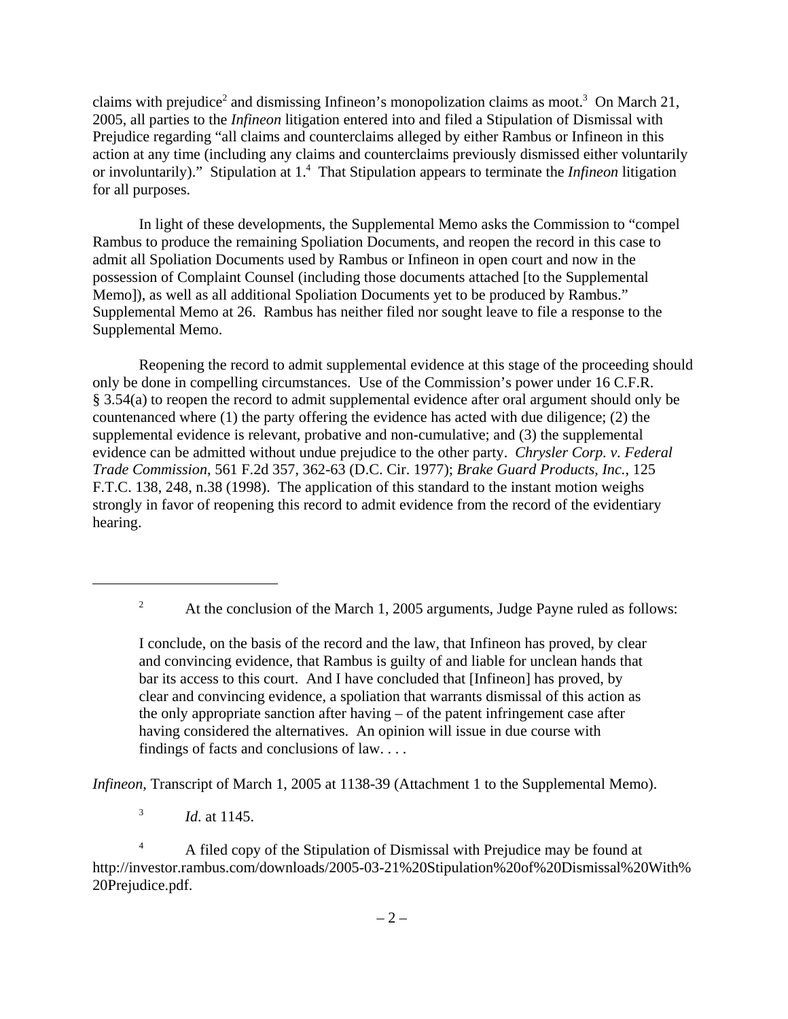claims with prejudice<sup>2</sup> and dismissing Infineon's monopolization claims as moot.<sup>3</sup> On March 21, 2005, all parties to the *Infineon* litigation entered into and filed a Stipulation of Dismissal with Prejudice regarding "all claims and counterclaims alleged by either Rambus or Infineon in this action at any time (including any claims and counterclaims previously dismissed either voluntarily or involuntarily)." Stipulation at 1.<sup>4</sup> That Stipulation appears to terminate the *Infineon* litigation for all purposes.

In light of these developments, the Supplemental Memo asks the Commission to "compel Rambus to produce the remaining Spoliation Documents, and reopen the record in this case to admit all Spoliation Documents used by Rambus or Infineon in open court and now in the possession of Complaint Counsel (including those documents attached [to the Supplemental Memo]), as well as all additional Spoliation Documents yet to be produced by Rambus." Supplemental Memo at 26. Rambus has neither filed nor sought leave to file a response to the Supplemental Memo.

Reopening the record to admit supplemental evidence at this stage of the proceeding should only be done in compelling circumstances. Use of the Commission's power under 16 C.F.R. § 3.54(a) to reopen the record to admit supplemental evidence after oral argument should only be countenanced where (1) the party offering the evidence has acted with due diligence; (2) the supplemental evidence is relevant, probative and non-cumulative; and (3) the supplemental evidence can be admitted without undue prejudice to the other party. *Chrysler Corp. v. Federal Trade Commission*, 561 F.2d 357, 362-63 (D.C. Cir. 1977); *Brake Guard Products, Inc.*, 125 F.T.C. 138, 248, n.38 (1998). The application of this standard to the instant motion weighs strongly in favor of reopening this record to admit evidence from the record of the evidentiary hearing.

*Infineon*, Transcript of March 1, 2005 at 1138-39 (Attachment 1 to the Supplemental Memo).

<sup>3</sup> *Id*. at 1145.

<sup>4</sup> A filed copy of the Stipulation of Dismissal with Prejudice may be found at http://investor.rambus.com/downloads/2005-03-21%20Stipulation%20of%20Dismissal%20With% 20Prejudice.pdf.

<sup>&</sup>lt;sup>2</sup> At the conclusion of the March 1, 2005 arguments, Judge Payne ruled as follows:

I conclude, on the basis of the record and the law, that Infineon has proved, by clear and convincing evidence, that Rambus is guilty of and liable for unclean hands that bar its access to this court. And I have concluded that [Infineon] has proved, by clear and convincing evidence, a spoliation that warrants dismissal of this action as the only appropriate sanction after having – of the patent infringement case after having considered the alternatives. An opinion will issue in due course with findings of facts and conclusions of law. . . .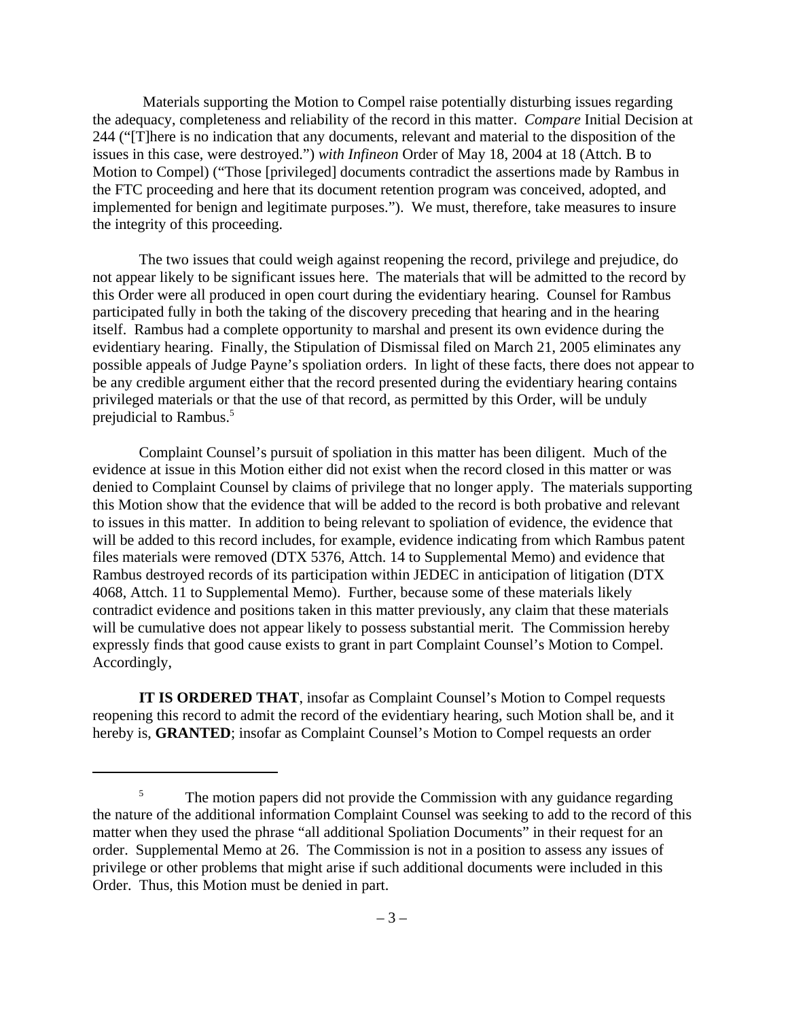Materials supporting the Motion to Compel raise potentially disturbing issues regarding the adequacy, completeness and reliability of the record in this matter. *Compare* Initial Decision at 244 ("[T]here is no indication that any documents, relevant and material to the disposition of the issues in this case, were destroyed.") *with Infineon* Order of May 18, 2004 at 18 (Attch. B to Motion to Compel) ("Those [privileged] documents contradict the assertions made by Rambus in the FTC proceeding and here that its document retention program was conceived, adopted, and implemented for benign and legitimate purposes."). We must, therefore, take measures to insure the integrity of this proceeding.

The two issues that could weigh against reopening the record, privilege and prejudice, do not appear likely to be significant issues here. The materials that will be admitted to the record by this Order were all produced in open court during the evidentiary hearing. Counsel for Rambus participated fully in both the taking of the discovery preceding that hearing and in the hearing itself. Rambus had a complete opportunity to marshal and present its own evidence during the evidentiary hearing. Finally, the Stipulation of Dismissal filed on March 21, 2005 eliminates any possible appeals of Judge Payne's spoliation orders. In light of these facts, there does not appear to be any credible argument either that the record presented during the evidentiary hearing contains privileged materials or that the use of that record, as permitted by this Order, will be unduly prejudicial to Rambus.<sup>5</sup>

Complaint Counsel's pursuit of spoliation in this matter has been diligent. Much of the evidence at issue in this Motion either did not exist when the record closed in this matter or was denied to Complaint Counsel by claims of privilege that no longer apply. The materials supporting this Motion show that the evidence that will be added to the record is both probative and relevant to issues in this matter. In addition to being relevant to spoliation of evidence, the evidence that will be added to this record includes, for example, evidence indicating from which Rambus patent files materials were removed (DTX 5376, Attch. 14 to Supplemental Memo) and evidence that Rambus destroyed records of its participation within JEDEC in anticipation of litigation (DTX 4068, Attch. 11 to Supplemental Memo). Further, because some of these materials likely contradict evidence and positions taken in this matter previously, any claim that these materials will be cumulative does not appear likely to possess substantial merit. The Commission hereby expressly finds that good cause exists to grant in part Complaint Counsel's Motion to Compel. Accordingly,

**IT IS ORDERED THAT**, insofar as Complaint Counsel's Motion to Compel requests reopening this record to admit the record of the evidentiary hearing, such Motion shall be, and it hereby is, **GRANTED**; insofar as Complaint Counsel's Motion to Compel requests an order

<sup>&</sup>lt;sup>5</sup> The motion papers did not provide the Commission with any guidance regarding the nature of the additional information Complaint Counsel was seeking to add to the record of this matter when they used the phrase "all additional Spoliation Documents" in their request for an order. Supplemental Memo at 26. The Commission is not in a position to assess any issues of privilege or other problems that might arise if such additional documents were included in this Order. Thus, this Motion must be denied in part.